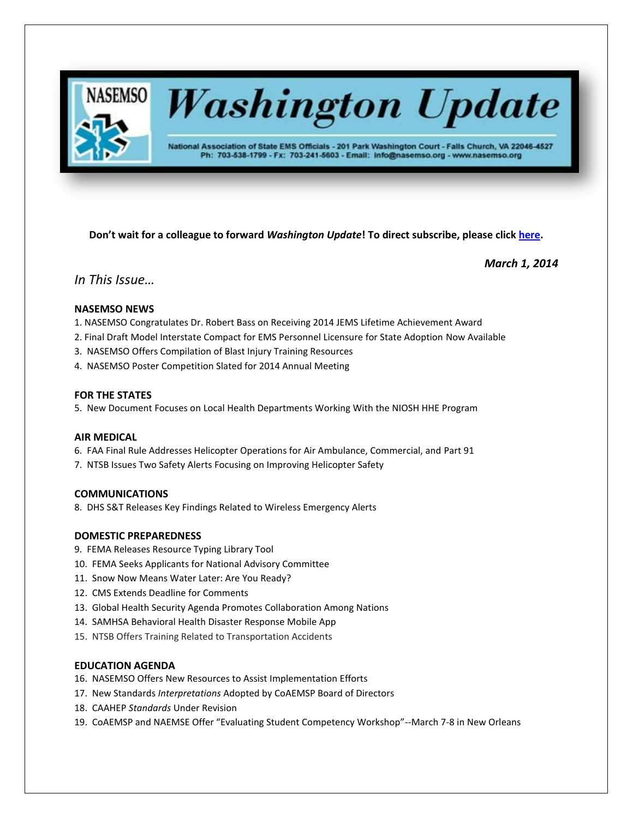

# **Washington Update**

National Association of State EMS Officials - 201 Park Washington Court - Falls Church, VA 22046-4527 Ph: 703-538-1799 - Fx: 703-241-5603 - Email: info@nasemso.org - www.nasemso.org

**Don't wait for a colleague to forward** *Washington Update***! To direct subscribe, please click [here.](http://lists.nasemso.org/read/all_forums/subscribe?name=wu%20)**

*March 1, 2014*

# *In This Issue…*

# **NASEMSO NEWS**

- 1. NASEMSO Congratulates Dr. Robert Bass on Receiving 2014 JEMS Lifetime Achievement Award
- 2. Final Draft Model Interstate Compact for EMS Personnel Licensure for State Adoption Now Available
- 3. NASEMSO Offers Compilation of Blast Injury Training Resources
- 4. NASEMSO Poster Competition Slated for 2014 Annual Meeting

# **FOR THE STATES**

5. New Document Focuses on Local Health Departments Working With the NIOSH HHE Program

# **AIR MEDICAL**

- 6. FAA Final Rule Addresses Helicopter Operations for Air Ambulance, Commercial, and Part 91
- 7. NTSB Issues Two Safety Alerts Focusing on Improving Helicopter Safety

# **COMMUNICATIONS**

8. DHS S&T Releases Key Findings Related to Wireless Emergency Alerts

# **DOMESTIC PREPAREDNESS**

- 9. FEMA Releases Resource Typing Library Tool
- 10. FEMA Seeks Applicants for National Advisory Committee
- 11. Snow Now Means Water Later: Are You Ready?
- 12. CMS Extends Deadline for Comments
- 13. Global Health Security Agenda Promotes Collaboration Among Nations
- 14. SAMHSA Behavioral Health Disaster Response Mobile App
- 15. NTSB Offers Training Related to Transportation Accidents

# **EDUCATION AGENDA**

- 16. NASEMSO Offers New Resources to Assist Implementation Efforts
- 17. New Standards *Interpretations* Adopted by CoAEMSP Board of Directors
- 18. CAAHEP *Standards* Under Revision
- 19. CoAEMSP and NAEMSE Offer "Evaluating Student Competency Workshop"--March 7-8 in New Orleans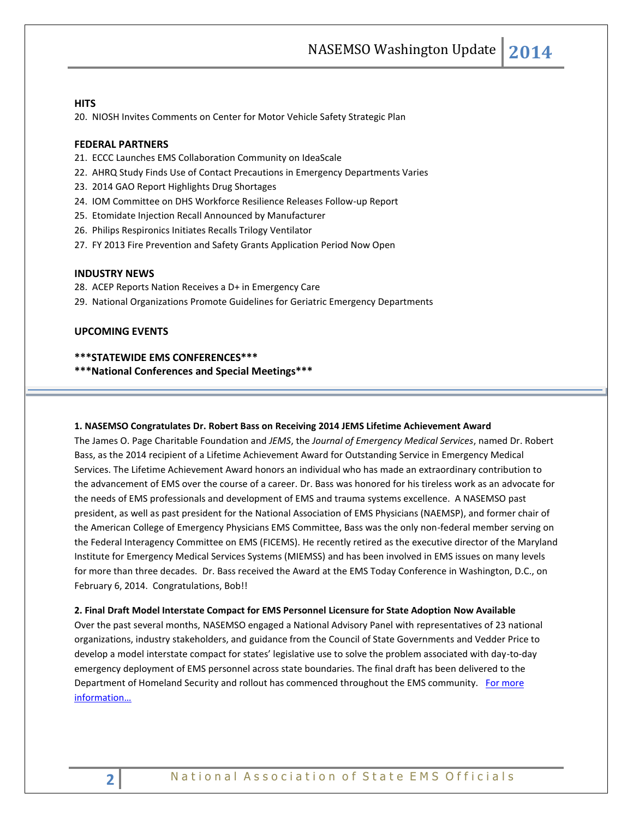#### **HITS**

20. NIOSH Invites Comments on Center for Motor Vehicle Safety Strategic Plan

# **FEDERAL PARTNERS**

- 21. ECCC Launches EMS Collaboration Community on IdeaScale
- 22. AHRQ Study Finds Use of Contact Precautions in Emergency Departments Varies
- 23. 2014 GAO Report Highlights Drug Shortages
- 24. IOM Committee on DHS Workforce Resilience Releases Follow-up Report
- 25. Etomidate Injection Recall Announced by Manufacturer
- 26. Philips Respironics Initiates Recalls Trilogy Ventilator
- 27. FY 2013 Fire Prevention and Safety Grants Application Period Now Open

#### **INDUSTRY NEWS**

- 28. ACEP Reports Nation Receives a D+ in Emergency Care
- 29. National Organizations Promote Guidelines for Geriatric Emergency Departments

# **UPCOMING EVENTS**

#### **\*\*\*STATEWIDE EMS CONFERENCES\*\*\***

**\*\*\*National Conferences and Special Meetings\*\*\***

#### **1. NASEMSO Congratulates Dr. Robert Bass on Receiving 2014 JEMS Lifetime Achievement Award**

The James O. Page Charitable Foundation and *JEMS*, the *Journal of Emergency Medical Services*, named Dr. Robert Bass, as the 2014 recipient of a Lifetime Achievement Award for Outstanding Service in Emergency Medical Services. The Lifetime Achievement Award honors an individual who has made an extraordinary contribution to the advancement of EMS over the course of a career. Dr. Bass was honored for his tireless work as an advocate for the needs of EMS professionals and development of EMS and trauma systems excellence. A NASEMSO past president, as well as past president for the National Association of EMS Physicians (NAEMSP), and former chair of the American College of Emergency Physicians EMS Committee, Bass was the only non-federal member serving on the Federal Interagency Committee on EMS (FICEMS). He recently retired as the executive director of the Maryland Institute for Emergency Medical Services Systems (MIEMSS) and has been involved in EMS issues on many levels for more than three decades. Dr. Bass received the Award at the EMS Today Conference in Washington, D.C., on February 6, 2014. Congratulations, Bob!!

# **2. Final Draft Model Interstate Compact for EMS Personnel Licensure for State Adoption Now Available**

Over the past several months, NASEMSO engaged a National Advisory Panel with representatives of 23 national organizations, industry stakeholders, and guidance from the Council of State Governments and Vedder Price to develop a model interstate compact for states' legislative use to solve the problem associated with day-to-day emergency deployment of EMS personnel across state boundaries. The final draft has been delivered to the Department of Homeland Security and rollout has commenced throughout the EMS community. For more [information…](https://www.nasemso.org/Projects/InterstateCompacts/index.asp)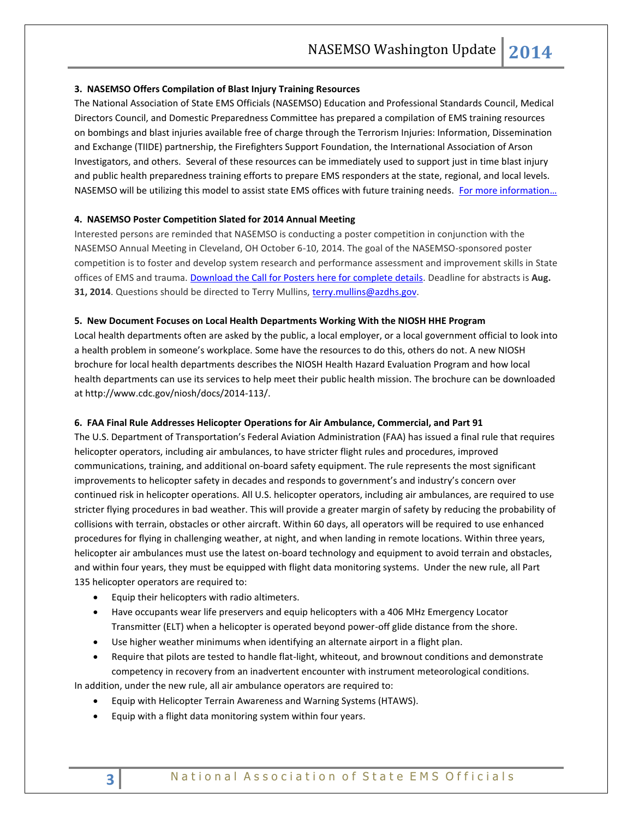#### **3. NASEMSO Offers Compilation of Blast Injury Training Resources**

The National Association of State EMS Officials (NASEMSO) Education and Professional Standards Council, Medical Directors Council, and Domestic Preparedness Committee has prepared a compilation of EMS training resources on bombings and blast injuries available free of charge through the Terrorism Injuries: Information, Dissemination and Exchange (TIIDE) partnership, the Firefighters Support Foundation, the International Association of Arson Investigators, and others. Several of these resources can be immediately used to support just in time blast injury and public health preparedness training efforts to prepare EMS responders at the state, regional, and local levels. NASEMSO will be utilizing this model to assist state EMS offices with future training needs. [For more information…](https://www.nasemso.org/Projects/DomesticPreparedness/Training-Opportunities.asp)

#### **4. NASEMSO Poster Competition Slated for 2014 Annual Meeting**

Interested persons are reminded that NASEMSO is conducting a poster competition in conjunction with the NASEMSO Annual Meeting in Cleveland, OH October 6-10, 2014. The goal of the NASEMSO-sponsored poster competition is to foster and develop system research and performance assessment and improvement skills in State offices of EMS and trauma. [Download the Call for Posters here for complete details.](http://www.nasemso.org/Meetings/Annual/documents/NASEMSO-2014-Call-for-Posters.pdf) Deadline for abstracts is **Aug. 31, 2014**. Questions should be directed to Terry Mullins, [terry.mullins@azdhs.gov.](mailto:terry.mullins@azdhs.gov)

#### **5. New Document Focuses on Local Health Departments Working With the NIOSH HHE Program**

Local health departments often are asked by the public, a local employer, or a local government official to look into a health problem in someone's workplace. Some have the resources to do this, others do not. A new NIOSH brochure for local health departments describes the NIOSH Health Hazard Evaluation Program and how local health departments can use its services to help meet their public health mission. The brochure can be downloaded a[t http://www.cdc.gov/niosh/docs/2014-113/.](http://www.cdc.gov/niosh/docs/2014-113/) 

#### **6. FAA Final Rule Addresses Helicopter Operations for Air Ambulance, Commercial, and Part 91**

The U.S. Department of Transportation's Federal Aviation Administration (FAA) has issued a final rule that requires helicopter operators, including air ambulances, to have stricter flight rules and procedures, improved communications, training, and additional on-board safety equipment. The rule represents the most significant improvements to helicopter safety in decades and responds to government's and industry's concern over continued risk in helicopter operations. All U.S. helicopter operators, including air ambulances, are required to use stricter flying procedures in bad weather. This will provide a greater margin of safety by reducing the probability of collisions with terrain, obstacles or other aircraft. Within 60 days, all operators will be required to use enhanced procedures for flying in challenging weather, at night, and when landing in remote locations. Within three years, helicopter air ambulances must use the latest on-board technology and equipment to avoid terrain and obstacles, and within four years, they must be equipped with flight data monitoring systems. Under the new rule, all Part 135 helicopter operators are required to:

- Equip their helicopters with radio altimeters.
- Have occupants wear life preservers and equip helicopters with a 406 MHz Emergency Locator Transmitter (ELT) when a helicopter is operated beyond power-off glide distance from the shore.
- Use higher weather minimums when identifying an alternate airport in a flight plan.
- Require that pilots are tested to handle flat-light, whiteout, and brownout conditions and demonstrate competency in recovery from an inadvertent encounter with instrument meteorological conditions.

In addition, under the new rule, all air ambulance operators are required to:

- Equip with Helicopter Terrain Awareness and Warning Systems (HTAWS).
- Equip with a flight data monitoring system within four years.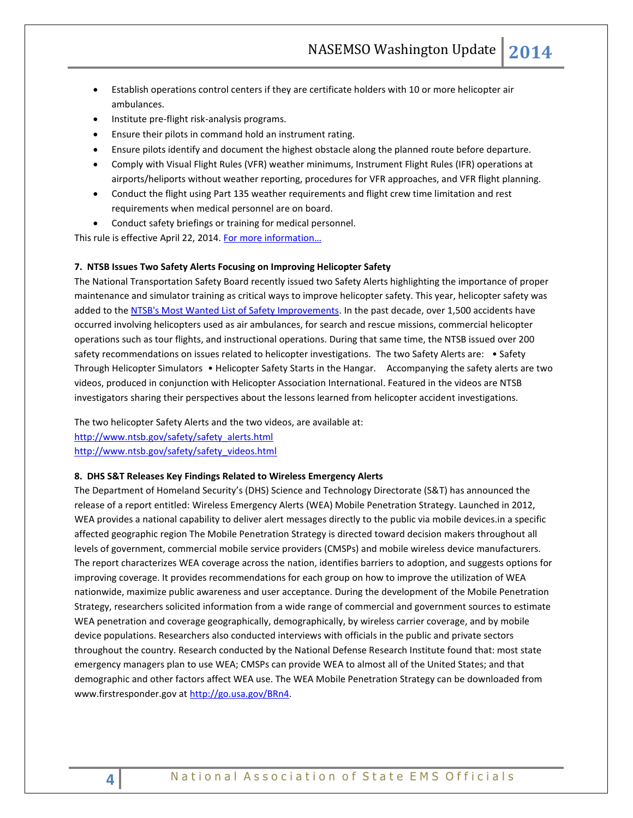- Establish operations control centers if they are certificate holders with 10 or more helicopter air ambulances.
- Institute pre-flight risk-analysis programs.
- Ensure their pilots in command hold an instrument rating.
- Ensure pilots identify and document the highest obstacle along the planned route before departure.
- Comply with Visual Flight Rules (VFR) weather minimums, Instrument Flight Rules (IFR) operations at airports/heliports without weather reporting, procedures for VFR approaches, and VFR flight planning.
- Conduct the flight using Part 135 weather requirements and flight crew time limitation and rest requirements when medical personnel are on board.
- Conduct safety briefings or training for medical personnel.

This rule is effective April 22, 2014. For more information...

#### **7. NTSB Issues Two Safety Alerts Focusing on Improving Helicopter Safety**

The National Transportation Safety Board recently issued two Safety Alerts highlighting the importance of proper maintenance and simulator training as critical ways to improve helicopter safety. This year, helicopter safety was added to th[e NTSB's Most Wanted List of Safety Improvements.](http://www.ntsb.gov/safety/mwl.html) In the past decade, over 1,500 accidents have occurred involving helicopters used as air ambulances, for search and rescue missions, commercial helicopter operations such as tour flights, and instructional operations. During that same time, the NTSB issued over 200 safety recommendations on issues related to helicopter investigations. The two Safety Alerts are: • Safety Through Helicopter Simulators • Helicopter Safety Starts in the Hangar. Accompanying the safety alerts are two videos, produced in conjunction with Helicopter Association International. Featured in the videos are NTSB investigators sharing their perspectives about the lessons learned from helicopter accident investigations.

The two helicopter Safety Alerts and the two videos, are available at: [http://www.ntsb.gov/safety/safety\\_alerts.html](http://www.ntsb.gov/safety/safety_alerts.html) [http://www.ntsb.gov/safety/safety\\_videos.html](http://www.ntsb.gov/safety/safety_videos.html)

#### **8. DHS S&T Releases Key Findings Related to Wireless Emergency Alerts**

The Department of Homeland Security's (DHS) Science and Technology Directorate (S&T) has announced the release of a report entitled: Wireless Emergency Alerts (WEA) Mobile Penetration Strategy. Launched in 2012, WEA provides a national capability to deliver alert messages directly to the public via mobile devices.in a specific affected geographic region The Mobile Penetration Strategy is directed toward decision makers throughout all levels of government, commercial mobile service providers (CMSPs) and mobile wireless device manufacturers. The report characterizes WEA coverage across the nation, identifies barriers to adoption, and suggests options for improving coverage. It provides recommendations for each group on how to improve the utilization of WEA nationwide, maximize public awareness and user acceptance. During the development of the Mobile Penetration Strategy, researchers solicited information from a wide range of commercial and government sources to estimate WEA penetration and coverage geographically, demographically, by wireless carrier coverage, and by mobile device populations. Researchers also conducted interviews with officials in the public and private sectors throughout the country. Research conducted by the National Defense Research Institute found that: most state emergency managers plan to use WEA; CMSPs can provide WEA to almost all of the United States; and that demographic and other factors affect WEA use. The WEA Mobile Penetration Strategy can be downloaded from www.firstresponder.gov a[t http://go.usa.gov/BRn4.](http://go.usa.gov/BRn4)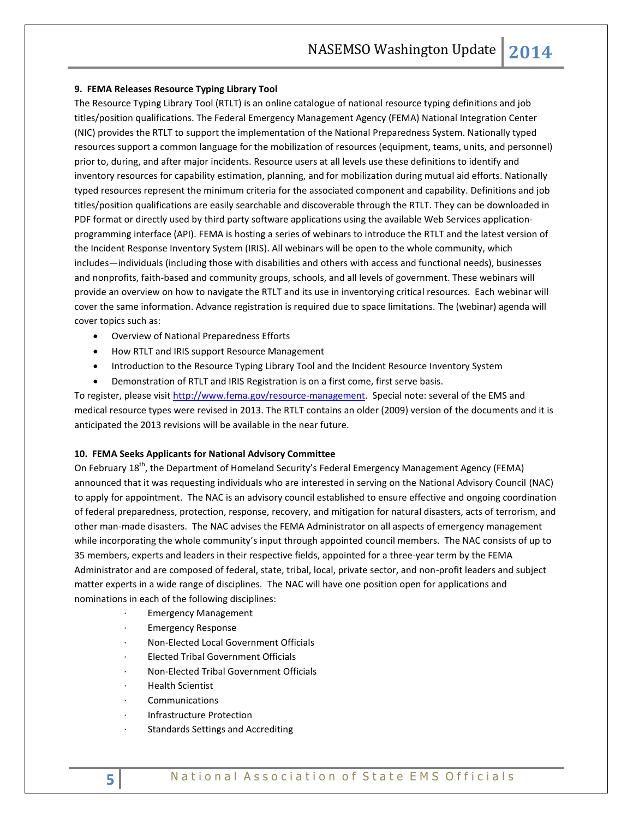#### **9. FEMA Releases Resource Typing Library Tool**

The Resource Typing Library Tool (RTLT) is an online catalogue of national resource typing definitions and job titles/position qualifications. The Federal Emergency Management Agency (FEMA) National Integration Center (NIC) provides the RTLT to support the implementation of the National Preparedness System. Nationally typed resources support a common language for the mobilization of resources (equipment, teams, units, and personnel) prior to, during, and after major incidents. Resource users at all levels use these definitions to identify and inventory resources for capability estimation, planning, and for mobilization during mutual aid efforts. Nationally typed resources represent the minimum criteria for the associated component and capability. Definitions and job titles/position qualifications are easily searchable and discoverable through the RTLT. They can be downloaded in PDF format or directly used by third party software applications using the available Web Services applicationprogramming interface (API). FEMA is hosting a series of webinars to introduce the RTLT and the latest version of the Incident Response Inventory System (IRIS). All webinars will be open to the whole community, which includes—individuals (including those with disabilities and others with access and functional needs), businesses and nonprofits, faith-based and community groups, schools, and all levels of government. These webinars will provide an overview on how to navigate the RTLT and its use in inventorying critical resources. Each webinar will cover the same information. Advance registration is required due to space limitations. The (webinar) agenda will cover topics such as:

- Overview of National Preparedness Efforts
- How RTLT and IRIS support Resource Management
- Introduction to the Resource Typing Library Tool and the Incident Resource Inventory System
- Demonstration of RTLT and IRIS Registration is on a first come, first serve basis.

To register, please visi[t http://www.fema.gov/resource-management.](http://www.fema.gov/resource-management) Special note: several of the EMS and medical resource types were revised in 2013. The RTLT contains an older (2009) version of the documents and it is anticipated the 2013 revisions will be available in the near future.

# **10. FEMA Seeks Applicants for National Advisory Committee**

On February 18<sup>th</sup>, the Department of Homeland Security's Federal Emergency Management Agency (FEMA) announced that it was requesting individuals who are interested in serving on the National Advisory Council (NAC) to apply for appointment. The NAC is an advisory council established to ensure effective and ongoing coordination of federal preparedness, protection, response, recovery, and mitigation for natural disasters, acts of terrorism, and other man-made disasters. The NAC advises the FEMA Administrator on all aspects of emergency management while incorporating the whole community's input through appointed council members. The NAC consists of up to 35 members, experts and leaders in their respective fields, appointed for a three-year term by the FEMA Administrator and are composed of federal, state, tribal, local, private sector, and non-profit leaders and subject matter experts in a wide range of disciplines. The NAC will have one position open for applications and nominations in each of the following disciplines:

- · Emergency Management
- **Emergency Response**
- · Non-Elected Local Government Officials
- · Elected Tribal Government Officials
- · Non-Elected Tribal Government Officials
- · Health Scientist
- **Communications**
- · Infrastructure Protection
- Standards Settings and Accrediting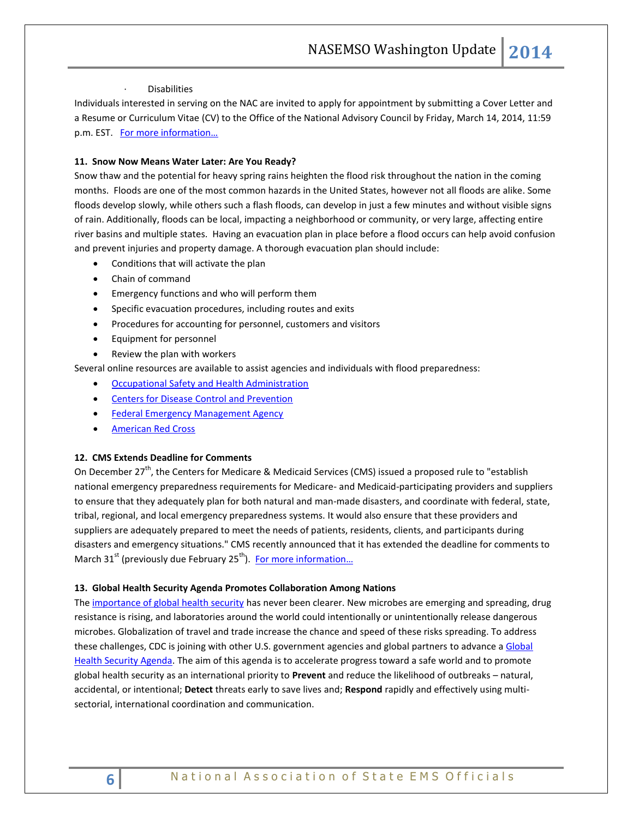#### **Disabilities**

Individuals interested in serving on the NAC are invited to apply for appointment by submitting a Cover Letter and a Resume or Curriculum Vitae (CV) to the Office of the National Advisory Council by Friday, March 14, 2014, 11:59 p.m. EST. For more information...

#### **11. Snow Now Means Water Later: Are You Ready?**

Snow thaw and the potential for heavy spring rains heighten the flood risk throughout the nation in the coming months. Floods are one of the most common hazards in the United States, however not all floods are alike. Some floods develop slowly, while others such a flash floods, can develop in just a few minutes and without visible signs of rain. Additionally, floods can be local, impacting a neighborhood or community, or very large, affecting entire river basins and multiple states. Having an evacuation plan in place before a flood occurs can help avoid confusion and prevent injuries and property damage. A thorough evacuation plan should include:

- Conditions that will activate the plan
- Chain of command
- Emergency functions and who will perform them
- Specific evacuation procedures, including routes and exits
- Procedures for accounting for personnel, customers and visitors
- Equipment for personnel
- Review the plan with workers

Several online resources are available to assist agencies and individuals with flood preparedness:

- [Occupational Safety and Health Administration](https://www.osha.gov/dts/weather/flood/preparedness.html)
- **•** Centers for Disease [Control and Prevention](http://emergency.cdc.gov/disasters/floods/index.asp)
- [Federal Emergency Management Agency](http://www.fema.gov/plan-prepare-mitigate)
- [American Red Cross](http://www.redcross.org/prepare/disaster/flood)

#### **12. CMS Extends Deadline for Comments**

On December  $27^{th}$ , the Centers for Medicare & Medicaid Services (CMS) issued a proposed rule to "establish national emergency preparedness requirements for Medicare- and Medicaid-participating providers and suppliers to ensure that they adequately plan for both natural and man-made disasters, and coordinate with federal, state, tribal, regional, and local emergency preparedness systems. It would also ensure that these providers and suppliers are adequately prepared to meet the needs of patients, residents, clients, and participants during disasters and emergency situations." CMS recently announced that it has extended the deadline for comments to March  $31<sup>st</sup>$  (previously due February 25<sup>th</sup>). For more information...

#### **13. Global Health Security Agenda Promotes Collaboration Among Nations**

Th[e importance of global health security](http://www.cdc.gov/globalhealth/security/why.htm) has never been clearer. New microbes are emerging and spreading, drug resistance is rising, and laboratories around the world could intentionally or unintentionally release dangerous microbes. Globalization of travel and trade increase the chance and speed of these risks spreading. To address these challenges, CDC is joining with other U.S. government agencies and global partners to advance a Global [Health Security Agenda.](http://www.cdc.gov/globalhealth/security/ghsagenda.htm) The aim of this agenda is to accelerate progress toward a safe world and to promote global health security as an international priority to **Prevent** and reduce the likelihood of outbreaks – natural, accidental, or intentional; **Detect** threats early to save lives and; **Respond** rapidly and effectively using multisectorial, international coordination and communication.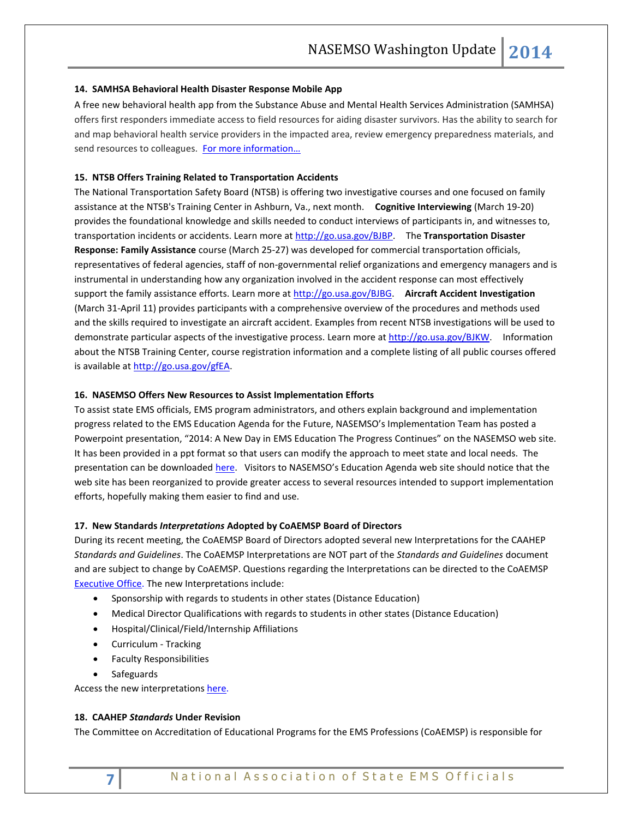#### **14. SAMHSA Behavioral Health Disaster Response Mobile App**

A free new behavioral health app from the Substance Abuse and Mental Health Services Administration (SAMHSA) offers first responders immediate access to field resources for aiding disaster survivors. Has the ability to search for and map behavioral health service providers in the impacted area, review emergency preparedness materials, and send resources to colleagues. For more information...

#### **15. NTSB Offers Training Related to Transportation Accidents**

The National Transportation Safety Board (NTSB) is offering two investigative courses and one focused on family assistance at the NTSB's Training Center in Ashburn, Va., next month. **Cognitive Interviewing** (March 19-20) provides the foundational knowledge and skills needed to conduct interviews of participants in, and witnesses to, transportation incidents or accidents. Learn more at [http://go.usa.gov/BJBP.](http://go.usa.gov/BJBP) The **Transportation Disaster Response: Family Assistance** course (March 25-27) was developed for commercial transportation officials, representatives of federal agencies, staff of non-governmental relief organizations and emergency managers and is instrumental in understanding how any organization involved in the accident response can most effectively support the family assistance efforts. Learn more at [http://go.usa.gov/BJBG.](http://go.usa.gov/BJBG) **Aircraft Accident Investigation**  (March 31-April 11) provides participants with a comprehensive overview of the procedures and methods used and the skills required to investigate an aircraft accident. Examples from recent NTSB investigations will be used to demonstrate particular aspects of the investigative process. Learn more at [http://go.usa.gov/BJKW.](http://go.usa.gov/BJKW) Information about the NTSB Training Center, course registration information and a complete listing of all public courses offered is available at [http://go.usa.gov/gfEA.](http://go.usa.gov/gfEA)

#### **16. NASEMSO Offers New Resources to Assist Implementation Efforts**

To assist state EMS officials, EMS program administrators, and others explain background and implementation progress related to the EMS Education Agenda for the Future, NASEMSO's Implementation Team has posted a Powerpoint presentation, "2014: A New Day in EMS Education The Progress Continues" on the NASEMSO web site. It has been provided in a ppt format so that users can modify the approach to meet state and local needs. The presentation can be downloade[d here.](http://www.nasemso.org/EMSEducationImplementationPlanning/Toolkit.asp) Visitors to NASEMSO's Education Agenda web site should notice that the web site has been reorganized to provide greater access to several resources intended to support implementation efforts, hopefully making them easier to find and use.

#### **17. New Standards** *Interpretations* **Adopted by CoAEMSP Board of Directors**

During its recent meeting, the CoAEMSP Board of Directors adopted several new Interpretations for the CAAHEP *Standards and Guidelines*. The CoAEMSP Interpretations are NOT part of the *Standards and Guidelines* document and are subject to change by CoAEMSP. Questions regarding the Interpretations can be directed to the CoAEMSP [Executive Office.](http://coaemsp.org/Contact.htm) The new Interpretations include:

- Sponsorship with regards to students in other states (Distance Education)
- Medical Director Qualifications with regards to students in other states (Distance Education)
- Hospital/Clinical/Field/Internship Affiliations
- Curriculum Tracking
- **•** Faculty Responsibilities
- Safeguards

Access the new interpretations [here.](http://coaemsp.org/Documents/Standards_Interpretations_CoAEMSP-2-7%202014a.pdf)

#### **18. CAAHEP** *Standards* **Under Revision**

The Committee on Accreditation of Educational Programs for the EMS Professions (CoAEMSP) is responsible for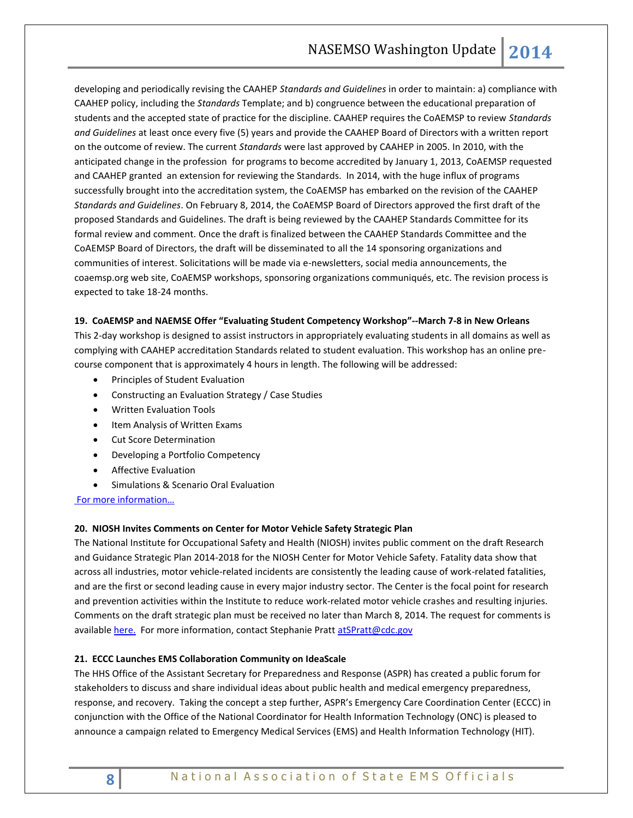developing and periodically revising the CAAHEP *Standards and Guidelines* in order to maintain: a) compliance with CAAHEP policy, including the *Standards* Template; and b) congruence between the educational preparation of students and the accepted state of practice for the discipline. CAAHEP requires the CoAEMSP to review *Standards and Guidelines* at least once every five (5) years and provide the CAAHEP Board of Directors with a written report on the outcome of review. The current *Standards* were last approved by CAAHEP in 2005. In 2010, with the anticipated change in the profession for programs to become accredited by January 1, 2013, CoAEMSP requested and CAAHEP granted an extension for reviewing the Standards. In 2014, with the huge influx of programs successfully brought into the accreditation system, the CoAEMSP has embarked on the revision of the CAAHEP *Standards and Guidelines*. On February 8, 2014, the CoAEMSP Board of Directors approved the first draft of the proposed Standards and Guidelines. The draft is being reviewed by the CAAHEP Standards Committee for its formal review and comment. Once the draft is finalized between the CAAHEP Standards Committee and the CoAEMSP Board of Directors, the draft will be disseminated to all the 14 sponsoring organizations and communities of interest. Solicitations will be made via e-newsletters, social media announcements, the coaemsp.org web site, CoAEMSP workshops, sponsoring organizations communiqués, etc. The revision process is expected to take 18-24 months.

#### **19. CoAEMSP and NAEMSE Offer "Evaluating Student Competency Workshop"--March 7-8 in New Orleans**

This 2-day workshop is designed to assist instructors in appropriately evaluating students in all domains as well as complying with CAAHEP accreditation Standards related to student evaluation. This workshop has an online precourse component that is approximately 4 hours in length. The following will be addressed:

- **•** Principles of Student Evaluation
- Constructing an Evaluation Strategy / Case Studies
- Written Evaluation Tools
- Item Analysis of Written Exams
- Cut Score Determination
- Developing a Portfolio Competency
- Affective Evaluation
- Simulations & Scenario Oral Evaluation

[For more information…](http://coaemsp.org/Documents/Workshop%20Handout%20March-REV.pdf)

#### **20. NIOSH Invites Comments on Center for Motor Vehicle Safety Strategic Plan**

The National Institute for Occupational Safety and Health (NIOSH) invites public comment on the draft Research and Guidance Strategic Plan 2014-2018 for the NIOSH Center for Motor Vehicle Safety. Fatality data show that across all industries, motor vehicle-related incidents are consistently the leading cause of work-related fatalities, and are the first or second leading cause in every major industry sector. The Center is the focal point for research and prevention activities within the Institute to reduce work-related motor vehicle crashes and resulting injuries. Comments on the draft strategic plan must be received no later than March 8, 2014. The request for comments is available [here.](http://www.regulations.gov/#!searchResults;rpp=25;po=0;s=cdc-2013-0024;dct=N%252BSR) For more information, contact Stephanie Pratt [atSPratt@cdc.gov](mailto:atSPratt@cdc.gov)

#### **21. ECCC Launches EMS Collaboration Community on IdeaScale**

The HHS Office of the Assistant Secretary for Preparedness and Response (ASPR) has created a public forum for stakeholders to discuss and share individual ideas about public health and medical emergency preparedness, response, and recovery. Taking the concept a step further, ASPR's Emergency Care Coordination Center (ECCC) in conjunction with the Office of the National Coordinator for Health Information Technology (ONC) is pleased to announce a campaign related to Emergency Medical Services (EMS) and Health Information Technology (HIT).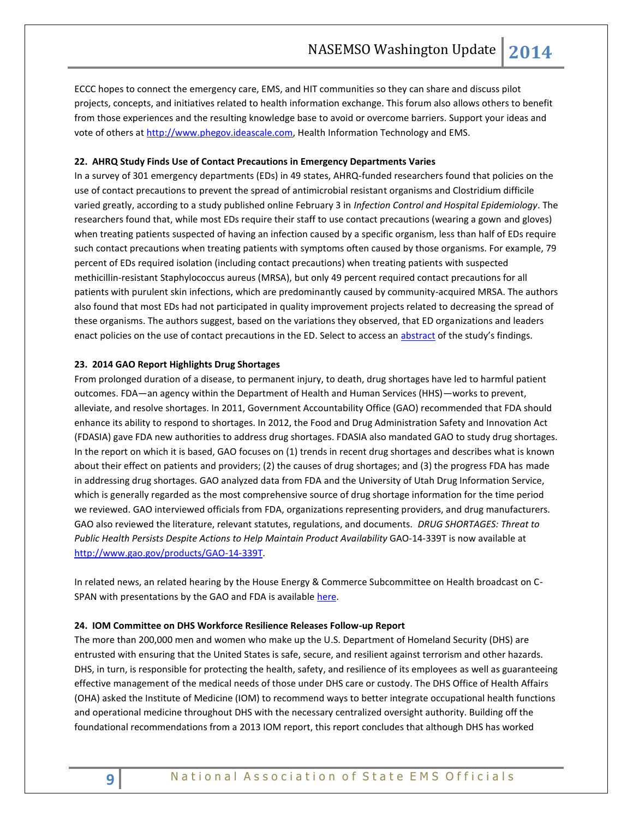ECCC hopes to connect the emergency care, EMS, and HIT communities so they can share and discuss pilot projects, concepts, and initiatives related to health information exchange. This forum also allows others to benefit from those experiences and the resulting knowledge base to avoid or overcome barriers. Support your ideas and vote of others at [http://www.phegov.ideascale.com,](http://www.phegov.ideascale.com/) Health Information Technology and EMS.

#### **22. AHRQ Study Finds Use of Contact Precautions in Emergency Departments Varies**

In a survey of 301 emergency departments (EDs) in 49 states, AHRQ-funded researchers found that policies on the use of contact precautions to prevent the spread of antimicrobial resistant organisms and Clostridium difficile varied greatly, according to a study published online February 3 in *Infection Control and Hospital Epidemiology*. The researchers found that, while most EDs require their staff to use contact precautions (wearing a gown and gloves) when treating patients suspected of having an infection caused by a specific organism, less than half of EDs require such contact precautions when treating patients with symptoms often caused by those organisms. For example, 79 percent of EDs required isolation (including contact precautions) when treating patients with suspected methicillin-resistant Staphylococcus aureus (MRSA), but only 49 percent required contact precautions for all patients with purulent skin infections, which are predominantly caused by community-acquired MRSA. The authors also found that most EDs had not participated in quality improvement projects related to decreasing the spread of these organisms. The authors suggest, based on the variations they observed, that ED organizations and leaders enact policies on the use of contact precautions in the ED. Select to access an [abstract](http://www.ncbi.nlm.nih.gov/pubmed/?term=variability+of+contact+precaution+policies+in+US+emergency+departments) of the study's findings.

#### **23. 2014 GAO Report Highlights Drug Shortages**

From prolonged duration of a disease, to permanent injury, to death, drug shortages have led to harmful patient outcomes. FDA—an agency within the Department of Health and Human Services (HHS)—works to prevent, alleviate, and resolve shortages. In 2011, Government Accountability Office (GAO) recommended that FDA should enhance its ability to respond to shortages. In 2012, the Food and Drug Administration Safety and Innovation Act (FDASIA) gave FDA new authorities to address drug shortages. FDASIA also mandated GAO to study drug shortages. In the report on which it is based, GAO focuses on (1) trends in recent drug shortages and describes what is known about their effect on patients and providers; (2) the causes of drug shortages; and (3) the progress FDA has made in addressing drug shortages. GAO analyzed data from FDA and the University of Utah Drug Information Service, which is generally regarded as the most comprehensive source of drug shortage information for the time period we reviewed. GAO interviewed officials from FDA, organizations representing providers, and drug manufacturers. GAO also reviewed the literature, relevant statutes, regulations, and documents. *DRUG SHORTAGES: Threat to Public Health Persists Despite Actions to Help Maintain Product Availability* GAO-14-339T is now available at [http://www.gao.gov/products/GAO-14-339T.](http://www.gao.gov/products/GAO-14-339T)

In related news, an related hearing by the House Energy & Commerce Subcommittee on Health broadcast on C-SPAN with presentations by the GAO and FDA is available [here.](http://www.c-span.org/video/?317696-1/hearing-drug-shortages)

#### **24. IOM Committee on DHS Workforce Resilience Releases Follow-up Report**

The more than 200,000 men and women who make up the U.S. Department of Homeland Security (DHS) are entrusted with ensuring that the United States is safe, secure, and resilient against terrorism and other hazards. DHS, in turn, is responsible for protecting the health, safety, and resilience of its employees as well as guaranteeing effective management of the medical needs of those under DHS care or custody. The DHS Office of Health Affairs (OHA) asked the Institute of Medicine (IOM) to recommend ways to better integrate occupational health functions and operational medicine throughout DHS with the necessary centralized oversight authority. Building off the foundational recommendations from a [2013 IOM report,](http://iom.edu/Reports/2013/A-Ready-and-Resilient-Workforce-for-the-Department-of-Homeland-Security-Protecting-Americas-Front-Line.aspx) this report concludes that although DHS has worked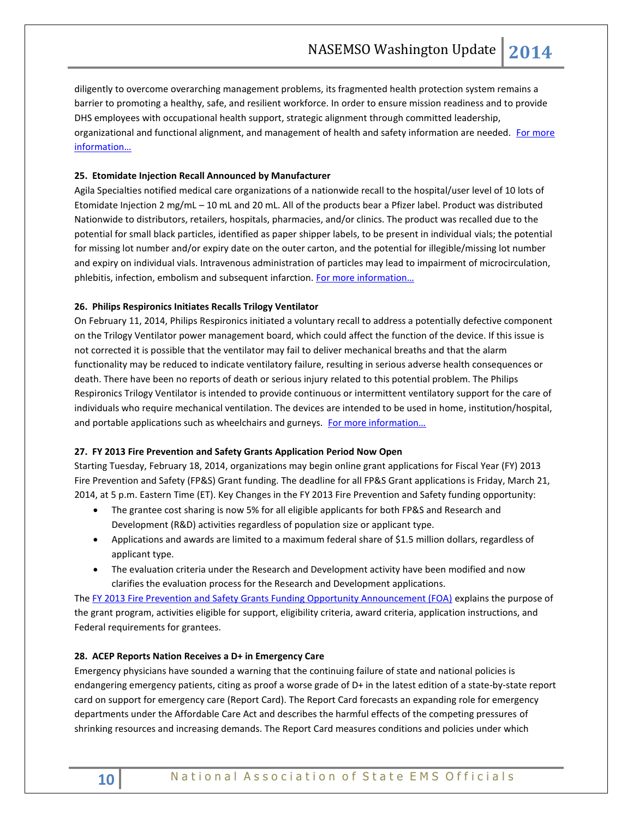diligently to overcome overarching management problems, its fragmented health protection system remains a barrier to promoting a healthy, safe, and resilient workforce. In order to ensure mission readiness and to provide DHS employees with occupational health support, strategic alignment through committed leadership, organizational and functional alignment, and management of health and safety information are needed. For more infor[mation…](http://iom.edu/Reports/2014/Advancing-Workforce-Health-at-the-Department-of-Homeland-Security.aspx)

# **25. Etomidate Injection Recall Announced by Manufacturer**

Agila Specialties notified medical care organizations of a nationwide recall to the hospital/user level of 10 lots of Etomidate Injection 2 mg/mL – 10 mL and 20 mL. All of the products bear a Pfizer label. Product was distributed Nationwide to distributors, retailers, hospitals, pharmacies, and/or clinics. The product was recalled due to the potential for small black particles, identified as paper shipper labels, to be present in individual vials; the potential for missing lot number and/or expiry date on the outer carton, and the potential for illegible/missing lot number and expiry on individual vials. Intravenous administration of particles may lead to impairment of microcirculation, phlebitis, infection, embolism and subsequent infarction. For more information...

### **26. Philips Respironics Initiates Recalls Trilogy Ventilator**

On February 11, 2014, Philips Respironics initiated a voluntary recall to address a potentially defective component on the Trilogy Ventilator power management board, which could affect the function of the device. If this issue is not corrected it is possible that the ventilator may fail to deliver mechanical breaths and that the alarm functionality may be reduced to indicate ventilatory failure, resulting in serious adverse health consequences or death. There have been no reports of death or serious injury related to this potential problem. The Philips Respironics Trilogy Ventilator is intended to provide continuous or intermittent ventilatory support for the care of individuals who require mechanical ventilation. The devices are intended to be used in home, institution/hospital, and portable applications such as wheelchairs and gurneys. For more information...

#### **27. FY 2013 Fire Prevention and Safety Grants Application Period Now Open**

Starting Tuesday, February 18, 2014, organizations may begin online grant applications for Fiscal Year (FY) 2013 Fire Prevention and Safety (FP&S) Grant funding. The deadline for all FP&S Grant applications is Friday, March 21, 2014, at 5 p.m. Eastern Time (ET). Key Changes in the FY 2013 Fire Prevention and Safety funding opportunity:

- The grantee cost sharing is now 5% for all eligible applicants for both FP&S and Research and Development (R&D) activities regardless of population size or applicant type.
- Applications and awards are limited to a maximum federal share of \$1.5 million dollars, regardless of applicant type.
- The evaluation criteria under the Research and Development activity have been modified and now clarifies the evaluation process for the Research and Development applications.

Th[e FY 2013 Fire Prevention and Safety Grants Funding Opportunity Announcement \(FOA\)](http://www.fema.gov/media-library/assets/documents/89270) explains the purpose of the grant program, activities eligible for support, eligibility criteria, award criteria, application instructions, and Federal requirements for grantees.

#### **28. ACEP Reports Nation Receives a D+ in Emergency Care**

Emergency physicians have sounded a warning that the continuing failure of state and national policies is endangering emergency patients, citing as proof a worse grade of D+ in th[e latest edition of a state-by-state report](http://www.emreportcard.org/uploadedFiles/EMReportCard2014.pdf)  [card](http://www.emreportcard.org/uploadedFiles/EMReportCard2014.pdf) on support for emergency care (Report Card). The Report Card forecasts an expanding role for emergency departments under the Affordable Care Act and describes the harmful effects of the competing pressures of shrinking resources and increasing demands. The Report Card measures conditions and policies under which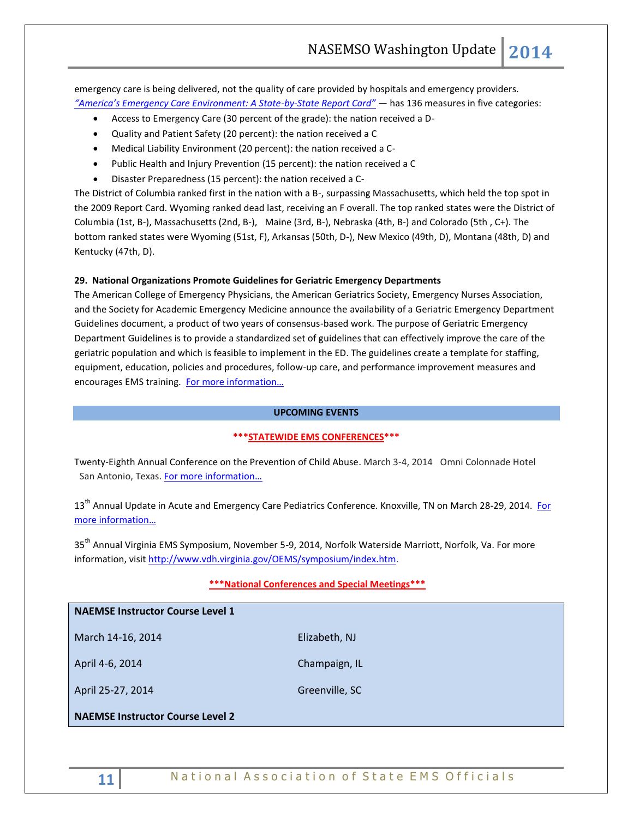emergency care is being delivered, not the quality of care provided by hospitals and emergency providers. *["America's Emergency Care Environment: A State](http://www.emreportcard.org/uploadedFiles/EMReportCard2014.pdf)-by-State Report Card"* — has 136 measures in five categories:

- Access to Emergency Care (30 percent of the grade): the nation received a D-
- Quality and Patient Safety (20 percent): the nation received a C
- Medical Liability Environment (20 percent): the nation received a C-
- Public Health and Injury Prevention (15 percent): the nation received a C
- Disaster Preparedness (15 percent): the nation received a C-

The District of Columbia ranked first in the nation with a B-, surpassing Massachusetts, which held the top spot in the 2009 Report Card. Wyoming ranked dead last, receiving an F overall. The top ranked states were the District of Columbia (1st, B-), Massachusetts (2nd, B-), Maine (3rd, B-), Nebraska (4th, B-) and Colorado (5th , C+). The bottom ranked states were Wyoming (51st, F), Arkansas (50th, D-), New Mexico (49th, D), Montana (48th, D) and Kentucky (47th, D).

#### **29. National Organizations Promote Guidelines for Geriatric Emergency Departments**

The American College of Emergency Physicians, the American Geriatrics Society, Emergency Nurses Association, and the Society for Academic Emergency Medicine announce the availability of a Geriatric Emergency Department Guidelines document, a product of two years of consensus-based work. The purpose of Geriatric Emergency Department Guidelines is to provide a standardized set of guidelines that can effectively improve the care of the geriatric population and which is feasible to implement in the ED. The guidelines create a template for staffing, equipment, education, policies and procedures, follow-up care, and performance improvement measures and encourages EMS training. For mor[e information…](http://www.acep.org/geriEDguidelines/)

#### **UPCOMING EVENTS**

#### **\*\*\*STATEWIDE EMS CONFERENCES\*\*\***

Twenty-Eighth Annual Conference on the Prevention of Child Abuse. March 3-4, 2014 Omni Colonnade Hotel San Antonio, Texas. [For more information…](http://www.preventchildabusetexas.org/nextconference.html)

13<sup>th</sup> Annual Update in Acute and Emergency Care Pediatrics Conference. Knoxville, TN on March 28-29, 2014. For [more information…](http://www.etsu.edu/com/cme/PEM2014.aspx.)

35<sup>th</sup> Annual Virginia EMS Symposium, November 5-9, 2014, Norfolk Waterside Marriott, Norfolk, Va. For more information, visit [http://www.vdh.virginia.gov/OEMS/symposium/index.htm.](http://www.vdh.virginia.gov/OEMS/symposium/index.htm)

#### **\*\*\*National Conferences and Special Meetings\*\*\***

# **NAEMSE Instructor Course Level 1**

March 14-16, 2014 **Elizabeth, NJ** 

April 4-6, 2014 **Champaign, IL** 

April 25-27, 2014 Greenville, SC

**NAEMSE Instructor Course Level 2**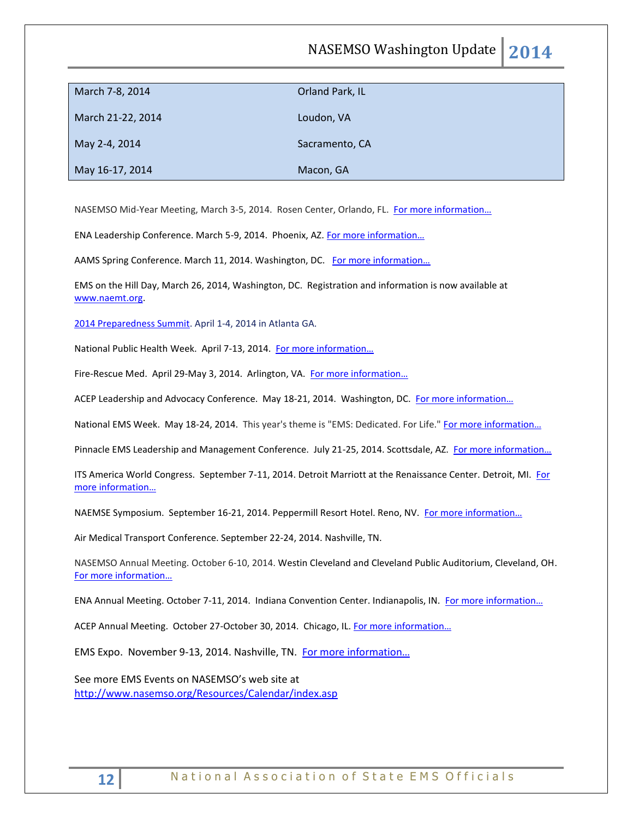# NASEMSO Washington Update **2014**

| March 7-8, 2014   | Orland Park, IL |
|-------------------|-----------------|
| March 21-22, 2014 | Loudon, VA      |
| May 2-4, 2014     | Sacramento, CA  |
| May 16-17, 2014   | Macon, GA       |

NASEMSO Mid-Year Meeting, March 3-5, 2014. Rosen Center, Orlando, FL. [For more information…](http://www.nasemso.org/Meetings/MidYear/index.asp)

ENA Leadership Conference. March 5-9, 2014. Phoenix, AZ. [For more information…](http://www.ena.org/education/conferences/Pages/default.aspx)

AAMS Spring Conference. March 11, 2014. Washington, DC. For more information...

EMS on the Hill Day, March 26, 2014, Washington, DC. Registration and information is now available at [www.naemt.org.](http://www.naemt.org/) 

[2014 Preparedness Summit.](http://preparednesssummit.org/) April 1-4, 2014 in Atlanta GA.

National Public Health Week. April 7-13, 2014. [For more information…](http://www.nphw.org/2014)

Fire-Rescue Med. April 29-May 3, 2014. Arlington, VA. For more information...

ACEP Leadership and Advocacy Conference. May 18-21, 2014. Washington, DC. [For more information…](http://www.acep.org/lac/)

National EMS Week. May 18-24, 2014. This year's theme is "EMS: Dedicated. For Life." For more information...

Pinnacle EMS Leadership and Management Conference. July 21-25, 2014. Scottsdale, AZ. [For more information…](http://pinnacle-ems.com/)

ITS America World Congress. September 7-11, 2014. Detroit Marriott at the Renaissance Center. Detroit, MI. For [more information…](http://itsworldcongress.org/)

NAEMSE Symposium. September 16-21, 2014. Peppermill Resort Hotel. Reno, NV. [For more information…](http://www.naemse.org/symposium/)

Air Medical Transport Conference. September 22-24, 2014. Nashville, TN.

NASEMSO Annual Meeting. October 6-10, 2014. Westin Cleveland and Cleveland Public Auditorium, Cleveland, OH. [For more informati](http://www.nasemso.org/Meetings/Annual/AnnualMeeting2014.asp)on…

ENA Annual Meeting. October 7-11, 2014. Indiana Convention Center. Indianapolis, IN. For more information...

ACEP Annual Meeting. October 27-October 30, 2014. Chicago, IL. [For more information…](http://www.acep.org/)

EMS Expo. November 9-13, 2014. Nashville, TN. [For more information…](http://emsworldexpo.com/)

See more EMS Events on NASEMSO's web site at <http://www.nasemso.org/Resources/Calendar/index.asp>